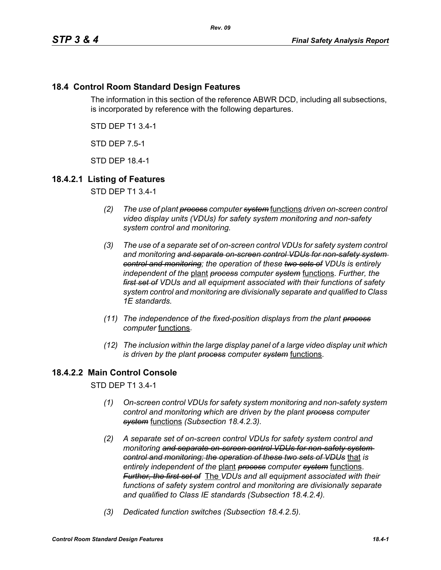# **18.4 Control Room Standard Design Features**

The information in this section of the reference ABWR DCD, including all subsections, is incorporated by reference with the following departures.

STD DEP T1 3.4-1

STD DEP 7.5-1

STD DEP 18.4-1

## **18.4.2.1 Listing of Features**

STD DEP T1 3.4-1

- *(2) The use of plant process computer system* functions *driven on-screen control video display units (VDUs) for safety system monitoring and non-safety system control and monitoring.*
- *(3) The use of a separate set of on-screen control VDUs for safety system control and monitoring and separate on-screen control VDUs for non-safety system control and monitoring; the operation of these two sets of VDUs is entirely independent of the* plant *process computer system* functions. *Further, the first set of VDUs and all equipment associated with their functions of safety system control and monitoring are divisionally separate and qualified to Class 1E standards.*
- *(11) The independence of the fixed-position displays from the plant process computer* functions.
- *(12) The inclusion within the large display panel of a large video display unit which is driven by the plant process computer system* functions.

# **18.4.2.2 Main Control Console**

STD DEP T1 3.4-1

- *(1) On-screen control VDUs for safety system monitoring and non-safety system control and monitoring which are driven by the plant process computer system* functions *(Subsection 18.4.2.3).*
- *(2) A separate set of on-screen control VDUs for safety system control and monitoring and separate on-screen control VDUs for non-safety system control and monitoring; the operation of these two sets of VDUs* that *is entirely independent of the* plant *process computer system* functions. *Further, the first set of* The *VDUs and all equipment associated with their functions of safety system control and monitoring are divisionally separate and qualified to Class IE standards (Subsection 18.4.2.4).*
- *(3) Dedicated function switches (Subsection 18.4.2.5).*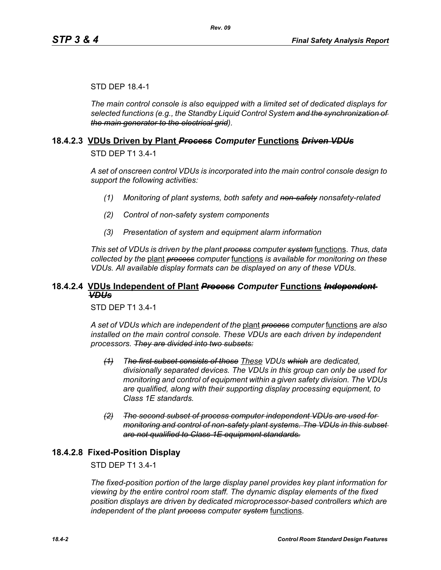#### STD DEP 18.4-1

*The main control console is also equipped with a limited set of dedicated displays for selected functions (e.g., the Standby Liquid Control System and the synchronization of the main generator to the electrical grid).*

#### **18.4.2.3 VDUs Driven by Plant** *Process Computer* **Functions** *Driven VDUs*

STD DEP T1 3.4-1

*A set of onscreen control VDUs is incorporated into the main control console design to support the following activities:*

- *(1) Monitoring of plant systems, both safety and non-safety nonsafety-related*
- *(2) Control of non-safety system components*
- *(3) Presentation of system and equipment alarm information*

*This set of VDUs is driven by the plant process computer system* functions. *Thus, data collected by the* plant *process computer* functions *is available for monitoring on these VDUs. All available display formats can be displayed on any of these VDUs.*

#### **18.4.2.4 VDUs Independent of Plant** *Process Computer* **Functions** *Independent VDUs*

STD DEP T1 3.4-1

*A set of VDUs which are independent of the* plant *process computer* functions *are also installed on the main control console. These VDUs are each driven by independent processors. They are divided into two subsets:*

- *(1) The first subset consists of those These VDUs which are dedicated, divisionally separated devices. The VDUs in this group can only be used for monitoring and control of equipment within a given safety division. The VDUs are qualified, along with their supporting display processing equipment, to Class 1E standards.*
- *(2) The second subset of process computer independent VDUs are used for monitoring and control of non-safety plant systems. The VDUs in this subset are not qualified to Class 1E equipment standards.*

#### **18.4.2.8 Fixed-Position Display**

#### STD DEP T1 3.4-1

*The fixed-position portion of the large display panel provides key plant information for viewing by the entire control room staff. The dynamic display elements of the fixed position displays are driven by dedicated microprocessor-based controllers which are independent of the plant process computer system* functions.